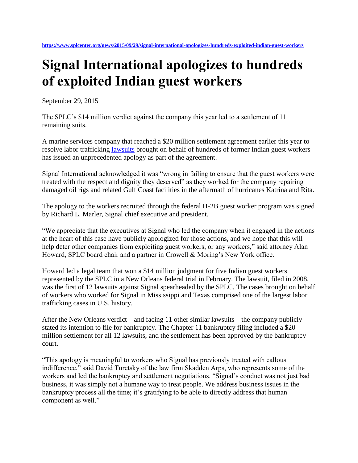## **Signal International apologizes to hundreds of exploited Indian guest workers**

September 29, 2015

The SPLC's \$14 million verdict against the company this year led to a settlement of 11 remaining suits.

A marine services company that reached a \$20 million settlement agreement earlier this year to resolve labor trafficking [lawsuits](https://www.splcenter.org/seeking-justice/case-docket/signal-international-lawsuits) brought on behalf of hundreds of former Indian guest workers has issued an unprecedented apology as part of the agreement.

Signal International acknowledged it was "wrong in failing to ensure that the guest workers were treated with the respect and dignity they deserved" as they worked for the company repairing damaged oil rigs and related Gulf Coast facilities in the aftermath of hurricanes Katrina and Rita.

The apology to the workers recruited through the federal H-2B guest worker program was signed by Richard L. Marler, Signal chief executive and president.

"We appreciate that the executives at Signal who led the company when it engaged in the actions at the heart of this case have publicly apologized for those actions, and we hope that this will help deter other companies from exploiting guest workers, or any workers," said attorney Alan Howard, SPLC board chair and a partner in Crowell & Moring's New York office.

Howard led a legal team that won a \$14 million judgment for five Indian guest workers represented by the SPLC in a New Orleans federal trial in February. The lawsuit, filed in 2008, was the first of 12 lawsuits against Signal spearheaded by the SPLC. The cases brought on behalf of workers who worked for Signal in Mississippi and Texas comprised one of the largest labor trafficking cases in U.S. history.

After the New Orleans verdict – and facing 11 other similar lawsuits – the company publicly stated its intention to file for bankruptcy. The Chapter 11 bankruptcy filing included a \$20 million settlement for all 12 lawsuits, and the settlement has been approved by the bankruptcy court.

"This apology is meaningful to workers who Signal has previously treated with callous indifference," said David Turetsky of the law firm Skadden Arps, who represents some of the workers and led the bankruptcy and settlement negotiations. "Signal's conduct was not just bad business, it was simply not a humane way to treat people. We address business issues in the bankruptcy process all the time; it's gratifying to be able to directly address that human component as well."